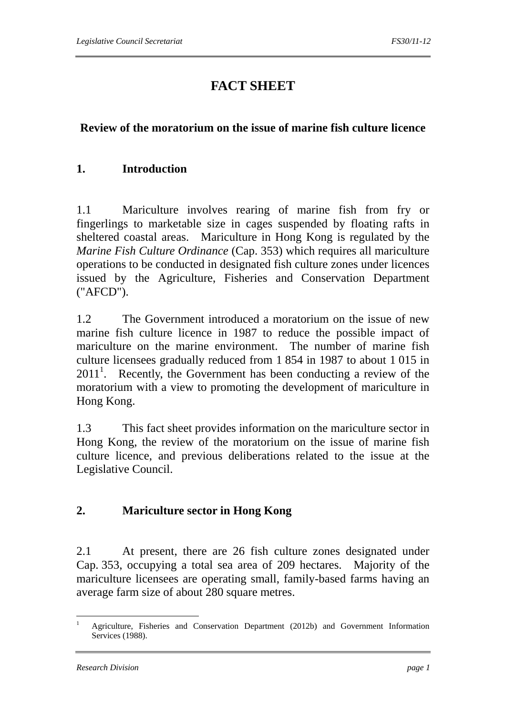# **FACT SHEET**

## **Review of the moratorium on the issue of marine fish culture licence**

#### **1. Introduction**

1.1 Mariculture involves rearing of marine fish from fry or fingerlings to marketable size in cages suspended by floating rafts in sheltered coastal areas. Mariculture in Hong Kong is regulated by the *Marine Fish Culture Ordinance* (Cap. 353) which requires all mariculture operations to be conducted in designated fish culture zones under licences issued by the Agriculture, Fisheries and Conservation Department ("AFCD").

1.2 The Government introduced a moratorium on the issue of new marine fish culture licence in 1987 to reduce the possible impact of mariculture on the marine environment. The number of marine fish culture licensees gradually reduced from 1 854 in 1987 to about 1 015 in  $2011<sup>1</sup>$ . Recently, the Government has been conducting a review of the moratorium with a view to promoting the development of mariculture in Hong Kong.

1.3 This fact sheet provides information on the mariculture sector in Hong Kong, the review of the moratorium on the issue of marine fish culture licence, and previous deliberations related to the issue at the Legislative Council.

## **2. Mariculture sector in Hong Kong**

2.1 At present, there are 26 fish culture zones designated under Cap. 353, occupying a total sea area of 209 hectares. Majority of the mariculture licensees are operating small, family-based farms having an average farm size of about 280 square metres.

<sup>1</sup> 1 Agriculture, Fisheries and Conservation Department (2012b) and Government Information Services (1988).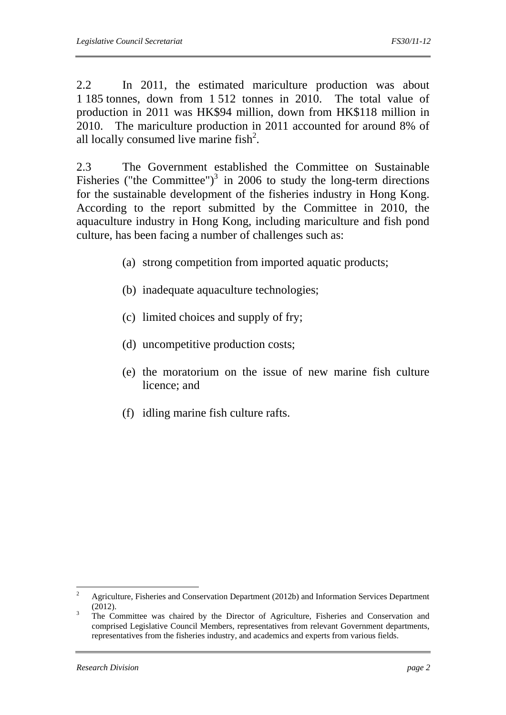2.2 In 2011, the estimated mariculture production was about 1 185 tonnes, down from 1 512 tonnes in 2010. The total value of production in 2011 was HK\$94 million, down from HK\$118 million in 2010. The mariculture production in 2011 accounted for around 8% of all locally consumed live marine  $fish<sup>2</sup>$ .

2.3 The Government established the Committee on Sustainable Fisheries ("the Committee")<sup>3</sup> in 2006 to study the long-term directions for the sustainable development of the fisheries industry in Hong Kong. According to the report submitted by the Committee in 2010, the aquaculture industry in Hong Kong, including mariculture and fish pond culture, has been facing a number of challenges such as:

- (a) strong competition from imported aquatic products;
- (b) inadequate aquaculture technologies;
- (c) limited choices and supply of fry;
- (d) uncompetitive production costs;
- (e) the moratorium on the issue of new marine fish culture licence; and
- (f) idling marine fish culture rafts.

 $\frac{1}{2}$  Agriculture, Fisheries and Conservation Department (2012b) and Information Services Department  $(2012).$ 

The Committee was chaired by the Director of Agriculture, Fisheries and Conservation and comprised Legislative Council Members, representatives from relevant Government departments, representatives from the fisheries industry, and academics and experts from various fields.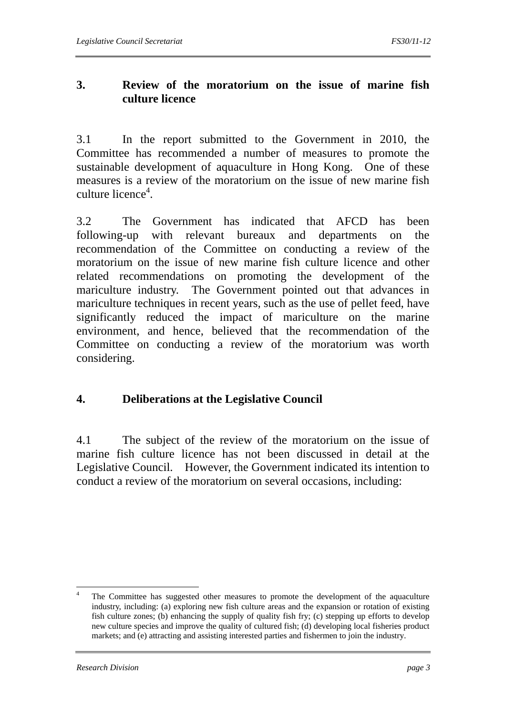## **3. Review of the moratorium on the issue of marine fish culture licence**

3.1 In the report submitted to the Government in 2010, the Committee has recommended a number of measures to promote the sustainable development of aquaculture in Hong Kong. One of these measures is a review of the moratorium on the issue of new marine fish culture licence<sup>4</sup>.

3.2 The Government has indicated that AFCD has been following-up with relevant bureaux and departments on the recommendation of the Committee on conducting a review of the moratorium on the issue of new marine fish culture licence and other related recommendations on promoting the development of the mariculture industry. The Government pointed out that advances in mariculture techniques in recent years, such as the use of pellet feed, have significantly reduced the impact of mariculture on the marine environment, and hence, believed that the recommendation of the Committee on conducting a review of the moratorium was worth considering.

## **4. Deliberations at the Legislative Council**

4.1 The subject of the review of the moratorium on the issue of marine fish culture licence has not been discussed in detail at the Legislative Council. However, the Government indicated its intention to conduct a review of the moratorium on several occasions, including:

 $\frac{1}{4}$  The Committee has suggested other measures to promote the development of the aquaculture industry, including: (a) exploring new fish culture areas and the expansion or rotation of existing fish culture zones; (b) enhancing the supply of quality fish fry; (c) stepping up efforts to develop new culture species and improve the quality of cultured fish; (d) developing local fisheries product markets; and (e) attracting and assisting interested parties and fishermen to join the industry.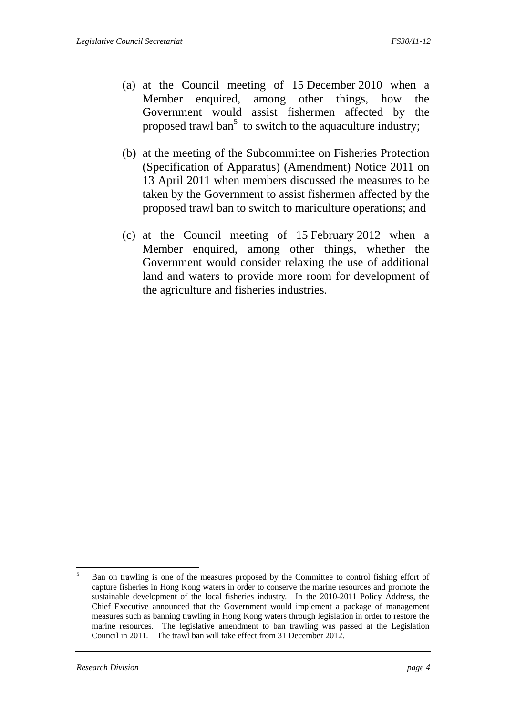- (a) at the Council meeting of 15 December 2010 when a Member enquired, among other things, how the Government would assist fishermen affected by the proposed trawl ban<sup>5</sup> to switch to the aquaculture industry;
- (b) at the meeting of the Subcommittee on Fisheries Protection (Specification of Apparatus) (Amendment) Notice 2011 on 13 April 2011 when members discussed the measures to be taken by the Government to assist fishermen affected by the proposed trawl ban to switch to mariculture operations; and
- (c) at the Council meeting of 15 February 2012 when a Member enquired, among other things, whether the Government would consider relaxing the use of additional land and waters to provide more room for development of the agriculture and fisheries industries.

 $\frac{1}{5}$  Ban on trawling is one of the measures proposed by the Committee to control fishing effort of capture fisheries in Hong Kong waters in order to conserve the marine resources and promote the sustainable development of the local fisheries industry. In the 2010-2011 Policy Address, the Chief Executive announced that the Government would implement a package of management measures such as banning trawling in Hong Kong waters through legislation in order to restore the marine resources. The legislative amendment to ban trawling was passed at the Legislation Council in 2011. The trawl ban will take effect from 31 December 2012.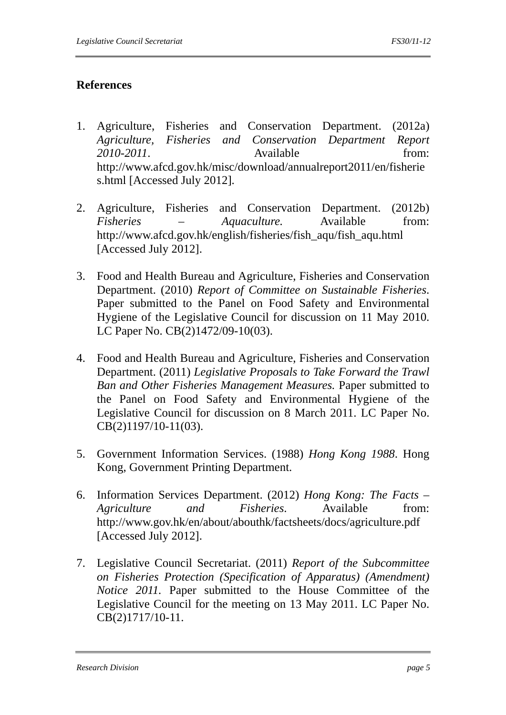## **References**

- 1. Agriculture, Fisheries and Conservation Department. (2012a) *Agriculture, Fisheries and Conservation Department Report*  2010-2011. Available from: http://www.afcd.gov.hk/misc/download/annualreport2011/en/fisherie s.html [Accessed July 2012].
- 2. Agriculture, Fisheries and Conservation Department. (2012b) *Fisheries – Aquaculture.* Available from: http://www.afcd.gov.hk/english/fisheries/fish\_aqu/fish\_aqu.html [Accessed July 2012].
- 3. Food and Health Bureau and Agriculture, Fisheries and Conservation Department. (2010) *Report of Committee on Sustainable Fisheries*. Paper submitted to the Panel on Food Safety and Environmental Hygiene of the Legislative Council for discussion on 11 May 2010. LC Paper No. CB(2)1472/09-10(03).
- 4. Food and Health Bureau and Agriculture, Fisheries and Conservation Department. (2011) *Legislative Proposals to Take Forward the Trawl Ban and Other Fisheries Management Measures.* Paper submitted to the Panel on Food Safety and Environmental Hygiene of the Legislative Council for discussion on 8 March 2011. LC Paper No. CB(2)1197/10-11(03).
- 5. Government Information Services. (1988) *Hong Kong 1988*. Hong Kong, Government Printing Department.
- 6. Information Services Department. (2012) *Hong Kong: The Facts Agriculture and Fisheries*. Available from: http://www.gov.hk/en/about/abouthk/factsheets/docs/agriculture.pdf [Accessed July 2012].
- 7. Legislative Council Secretariat. (2011) *Report of the Subcommittee on Fisheries Protection (Specification of Apparatus) (Amendment) Notice 2011.* Paper submitted to the House Committee of the Legislative Council for the meeting on 13 May 2011. LC Paper No. CB(2)1717/10-11.